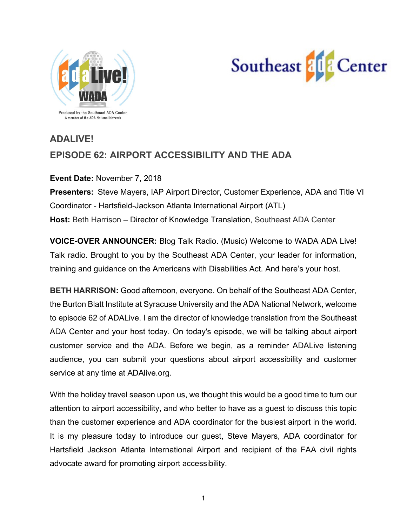



# **ADALIVE! EPISODE 62: AIRPORT ACCESSIBILITY AND THE ADA**

**Event Date:** November 7, 2018 **Presenters:** Steve Mayers, IAP Airport Director, Customer Experience, ADA and Title VI Coordinator - Hartsfield-Jackson Atlanta International Airport (ATL) **Host:** Beth Harrison – Director of Knowledge Translation, Southeast ADA Center

**VOICE-OVER ANNOUNCER:** Blog Talk Radio. (Music) Welcome to WADA ADA Live! Talk radio. Brought to you by the Southeast ADA Center, your leader for information, training and guidance on the Americans with Disabilities Act. And here's your host.

**BETH HARRISON:** Good afternoon, everyone. On behalf of the Southeast ADA Center, the Burton Blatt Institute at Syracuse University and the ADA National Network, welcome to episode 62 of ADALive. I am the director of knowledge translation from the Southeast ADA Center and your host today. On today's episode, we will be talking about airport customer service and the ADA. Before we begin, as a reminder ADALive listening audience, you can submit your questions about airport accessibility and customer service at any time at ADAlive.org.

With the holiday travel season upon us, we thought this would be a good time to turn our attention to airport accessibility, and who better to have as a guest to discuss this topic than the customer experience and ADA coordinator for the busiest airport in the world. It is my pleasure today to introduce our guest, Steve Mayers, ADA coordinator for Hartsfield Jackson Atlanta International Airport and recipient of the FAA civil rights advocate award for promoting airport accessibility.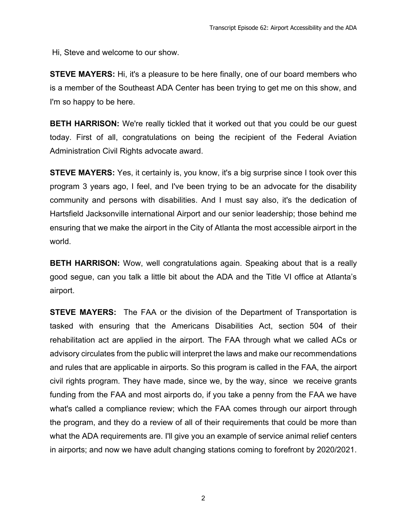Hi, Steve and welcome to our show.

**STEVE MAYERS:** Hi, it's a pleasure to be here finally, one of our board members who is a member of the Southeast ADA Center has been trying to get me on this show, and I'm so happy to be here.

**BETH HARRISON:** We're really tickled that it worked out that you could be our guest today. First of all, congratulations on being the recipient of the Federal Aviation Administration Civil Rights advocate award.

**STEVE MAYERS:** Yes, it certainly is, you know, it's a big surprise since I took over this program 3 years ago, I feel, and I've been trying to be an advocate for the disability community and persons with disabilities. And I must say also, it's the dedication of Hartsfield Jacksonville international Airport and our senior leadership; those behind me ensuring that we make the airport in the City of Atlanta the most accessible airport in the world.

**BETH HARRISON:** Wow, well congratulations again. Speaking about that is a really good segue, can you talk a little bit about the ADA and the Title VI office at Atlanta's airport.

**STEVE MAYERS:** The FAA or the division of the Department of Transportation is tasked with ensuring that the Americans Disabilities Act, section 504 of their rehabilitation act are applied in the airport. The FAA through what we called ACs or advisory circulates from the public will interpret the laws and make our recommendations and rules that are applicable in airports. So this program is called in the FAA, the airport civil rights program. They have made, since we, by the way, since we receive grants funding from the FAA and most airports do, if you take a penny from the FAA we have what's called a compliance review; which the FAA comes through our airport through the program, and they do a review of all of their requirements that could be more than what the ADA requirements are. I'll give you an example of service animal relief centers in airports; and now we have adult changing stations coming to forefront by 2020/2021.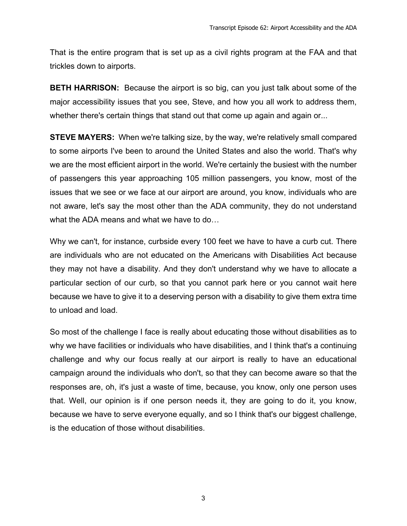That is the entire program that is set up as a civil rights program at the FAA and that trickles down to airports.

**BETH HARRISON:** Because the airport is so big, can you just talk about some of the major accessibility issues that you see, Steve, and how you all work to address them, whether there's certain things that stand out that come up again and again or...

**STEVE MAYERS:** When we're talking size, by the way, we're relatively small compared to some airports I've been to around the United States and also the world. That's why we are the most efficient airport in the world. We're certainly the busiest with the number of passengers this year approaching 105 million passengers, you know, most of the issues that we see or we face at our airport are around, you know, individuals who are not aware, let's say the most other than the ADA community, they do not understand what the ADA means and what we have to do…

Why we can't, for instance, curbside every 100 feet we have to have a curb cut. There are individuals who are not educated on the Americans with Disabilities Act because they may not have a disability. And they don't understand why we have to allocate a particular section of our curb, so that you cannot park here or you cannot wait here because we have to give it to a deserving person with a disability to give them extra time to unload and load.

So most of the challenge I face is really about educating those without disabilities as to why we have facilities or individuals who have disabilities, and I think that's a continuing challenge and why our focus really at our airport is really to have an educational campaign around the individuals who don't, so that they can become aware so that the responses are, oh, it's just a waste of time, because, you know, only one person uses that. Well, our opinion is if one person needs it, they are going to do it, you know, because we have to serve everyone equally, and so I think that's our biggest challenge, is the education of those without disabilities.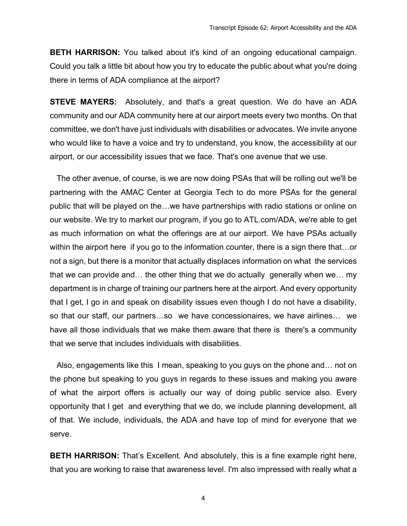**BETH HARRISON:** You talked about it's kind of an ongoing educational campaign. Could you talk a little bit about how you try to educate the public about what you're doing there in terms of ADA compliance at the airport?

**STEVE MAYERS:** Absolutely, and that's a great question. We do have an ADA community and our ADA community here at our airport meets every two months. On that committee, we don't have just individuals with disabilities or advocates. We invite anyone who would like to have a voice and try to understand, you know, the accessibility at our airport, or our accessibility issues that we face. That's one avenue that we use.

 The other avenue, of course, is we are now doing PSAs that will be rolling out we'll be partnering with the AMAC Center at Georgia Tech to do more PSAs for the general public that will be played on the…we have partnerships with radio stations or online on our website. We try to market our program, if you go to ATL.com/ADA, we're able to get as much information on what the offerings are at our airport. We have PSAs actually within the airport here if you go to the information counter, there is a sign there that…or not a sign, but there is a monitor that actually displaces information on what the services that we can provide and… the other thing that we do actually generally when we… my department is in charge of training our partners here at the airport. And every opportunity that I get, I go in and speak on disability issues even though I do not have a disability, so that our staff, our partners…so we have concessionaires, we have airlines… we have all those individuals that we make them aware that there is there's a community that we serve that includes individuals with disabilities.

 Also, engagements like this I mean, speaking to you guys on the phone and… not on the phone but speaking to you guys in regards to these issues and making you aware of what the airport offers is actually our way of doing public service also. Every opportunity that I get and everything that we do, we include planning development, all of that. We include, individuals, the ADA and have top of mind for everyone that we serve.

**BETH HARRISON:** That's Excellent. And absolutely, this is a fine example right here, that you are working to raise that awareness level. I'm also impressed with really what a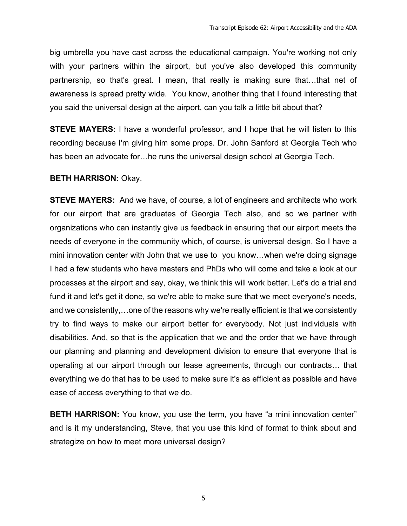big umbrella you have cast across the educational campaign. You're working not only with your partners within the airport, but you've also developed this community partnership, so that's great. I mean, that really is making sure that…that net of awareness is spread pretty wide. You know, another thing that I found interesting that you said the universal design at the airport, can you talk a little bit about that?

**STEVE MAYERS:** I have a wonderful professor, and I hope that he will listen to this recording because I'm giving him some props. Dr. John Sanford at Georgia Tech who has been an advocate for…he runs the universal design school at Georgia Tech.

### **BETH HARRISON:** Okay.

**STEVE MAYERS:** And we have, of course, a lot of engineers and architects who work for our airport that are graduates of Georgia Tech also, and so we partner with organizations who can instantly give us feedback in ensuring that our airport meets the needs of everyone in the community which, of course, is universal design. So I have a mini innovation center with John that we use to you know…when we're doing signage I had a few students who have masters and PhDs who will come and take a look at our processes at the airport and say, okay, we think this will work better. Let's do a trial and fund it and let's get it done, so we're able to make sure that we meet everyone's needs, and we consistently,…one of the reasons why we're really efficient is that we consistently try to find ways to make our airport better for everybody. Not just individuals with disabilities. And, so that is the application that we and the order that we have through our planning and planning and development division to ensure that everyone that is operating at our airport through our lease agreements, through our contracts… that everything we do that has to be used to make sure it's as efficient as possible and have ease of access everything to that we do.

**BETH HARRISON:** You know, you use the term, you have "a mini innovation center" and is it my understanding, Steve, that you use this kind of format to think about and strategize on how to meet more universal design?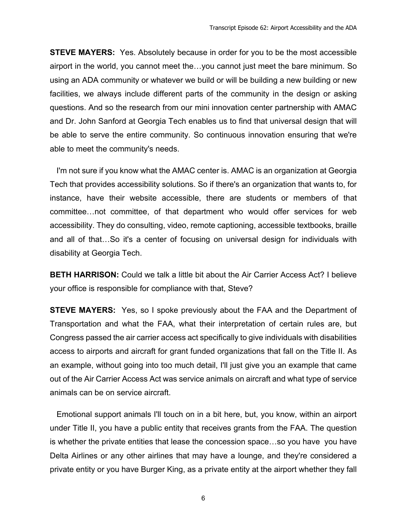**STEVE MAYERS:** Yes. Absolutely because in order for you to be the most accessible airport in the world, you cannot meet the…you cannot just meet the bare minimum. So using an ADA community or whatever we build or will be building a new building or new facilities, we always include different parts of the community in the design or asking questions. And so the research from our mini innovation center partnership with AMAC and Dr. John Sanford at Georgia Tech enables us to find that universal design that will be able to serve the entire community. So continuous innovation ensuring that we're able to meet the community's needs.

 I'm not sure if you know what the AMAC center is. AMAC is an organization at Georgia Tech that provides accessibility solutions. So if there's an organization that wants to, for instance, have their website accessible, there are students or members of that committee…not committee, of that department who would offer services for web accessibility. They do consulting, video, remote captioning, accessible textbooks, braille and all of that…So it's a center of focusing on universal design for individuals with disability at Georgia Tech.

**BETH HARRISON:** Could we talk a little bit about the Air Carrier Access Act? I believe your office is responsible for compliance with that, Steve?

**STEVE MAYERS:** Yes, so I spoke previously about the FAA and the Department of Transportation and what the FAA, what their interpretation of certain rules are, but Congress passed the air carrier access act specifically to give individuals with disabilities access to airports and aircraft for grant funded organizations that fall on the Title II. As an example, without going into too much detail, I'll just give you an example that came out of the Air Carrier Access Act was service animals on aircraft and what type of service animals can be on service aircraft.

 Emotional support animals I'll touch on in a bit here, but, you know, within an airport under Title II, you have a public entity that receives grants from the FAA. The question is whether the private entities that lease the concession space…so you have you have Delta Airlines or any other airlines that may have a lounge, and they're considered a private entity or you have Burger King, as a private entity at the airport whether they fall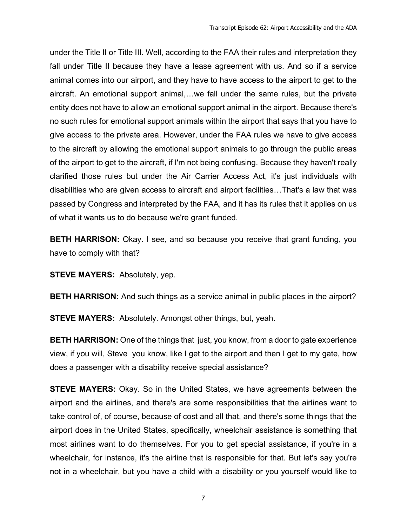under the Title II or Title III. Well, according to the FAA their rules and interpretation they fall under Title II because they have a lease agreement with us. And so if a service animal comes into our airport, and they have to have access to the airport to get to the aircraft. An emotional support animal,…we fall under the same rules, but the private entity does not have to allow an emotional support animal in the airport. Because there's no such rules for emotional support animals within the airport that says that you have to give access to the private area. However, under the FAA rules we have to give access to the aircraft by allowing the emotional support animals to go through the public areas of the airport to get to the aircraft, if I'm not being confusing. Because they haven't really clarified those rules but under the Air Carrier Access Act, it's just individuals with disabilities who are given access to aircraft and airport facilities…That's a law that was passed by Congress and interpreted by the FAA, and it has its rules that it applies on us of what it wants us to do because we're grant funded.

**BETH HARRISON:** Okay. I see, and so because you receive that grant funding, you have to comply with that?

**STEVE MAYERS:** Absolutely, yep.

**BETH HARRISON:** And such things as a service animal in public places in the airport?

**STEVE MAYERS:** Absolutely. Amongst other things, but, yeah.

**BETH HARRISON:** One of the things that just, you know, from a door to gate experience view, if you will, Steve you know, like I get to the airport and then I get to my gate, how does a passenger with a disability receive special assistance?

**STEVE MAYERS:** Okay. So in the United States, we have agreements between the airport and the airlines, and there's are some responsibilities that the airlines want to take control of, of course, because of cost and all that, and there's some things that the airport does in the United States, specifically, wheelchair assistance is something that most airlines want to do themselves. For you to get special assistance, if you're in a wheelchair, for instance, it's the airline that is responsible for that. But let's say you're not in a wheelchair, but you have a child with a disability or you yourself would like to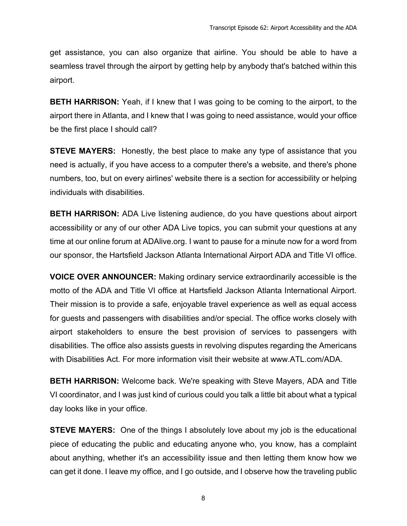get assistance, you can also organize that airline. You should be able to have a seamless travel through the airport by getting help by anybody that's batched within this airport.

**BETH HARRISON:** Yeah, if I knew that I was going to be coming to the airport, to the airport there in Atlanta, and I knew that I was going to need assistance, would your office be the first place I should call?

**STEVE MAYERS:** Honestly, the best place to make any type of assistance that you need is actually, if you have access to a computer there's a website, and there's phone numbers, too, but on every airlines' website there is a section for accessibility or helping individuals with disabilities.

**BETH HARRISON:** ADA Live listening audience, do you have questions about airport accessibility or any of our other ADA Live topics, you can submit your questions at any time at our online forum at ADAlive.org. I want to pause for a minute now for a word from our sponsor, the Hartsfield Jackson Atlanta International Airport ADA and Title VI office.

**VOICE OVER ANNOUNCER:** Making ordinary service extraordinarily accessible is the motto of the ADA and Title VI office at Hartsfield Jackson Atlanta International Airport. Their mission is to provide a safe, enjoyable travel experience as well as equal access for guests and passengers with disabilities and/or special. The office works closely with airport stakeholders to ensure the best provision of services to passengers with disabilities. The office also assists guests in revolving disputes regarding the Americans with Disabilities Act. For more information visit their website at www.ATL.com/ADA.

**BETH HARRISON:** Welcome back. We're speaking with Steve Mayers, ADA and Title VI coordinator, and I was just kind of curious could you talk a little bit about what a typical day looks like in your office.

**STEVE MAYERS:** One of the things I absolutely love about my job is the educational piece of educating the public and educating anyone who, you know, has a complaint about anything, whether it's an accessibility issue and then letting them know how we can get it done. I leave my office, and I go outside, and I observe how the traveling public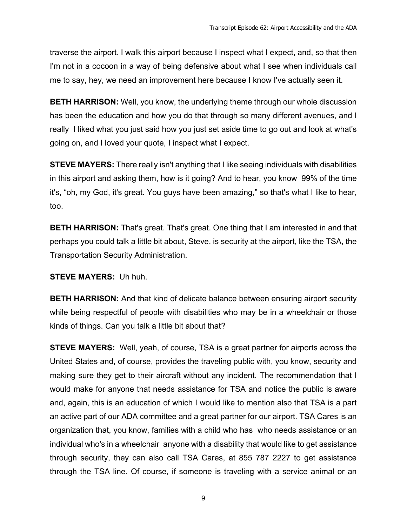traverse the airport. I walk this airport because I inspect what I expect, and, so that then I'm not in a cocoon in a way of being defensive about what I see when individuals call me to say, hey, we need an improvement here because I know I've actually seen it.

**BETH HARRISON:** Well, you know, the underlying theme through our whole discussion has been the education and how you do that through so many different avenues, and I really I liked what you just said how you just set aside time to go out and look at what's going on, and I loved your quote, I inspect what I expect.

**STEVE MAYERS:** There really isn't anything that I like seeing individuals with disabilities in this airport and asking them, how is it going? And to hear, you know 99% of the time it's, "oh, my God, it's great. You guys have been amazing," so that's what I like to hear, too.

**BETH HARRISON:** That's great. That's great. One thing that I am interested in and that perhaps you could talk a little bit about, Steve, is security at the airport, like the TSA, the Transportation Security Administration.

**STEVE MAYERS:** Uh huh.

**BETH HARRISON:** And that kind of delicate balance between ensuring airport security while being respectful of people with disabilities who may be in a wheelchair or those kinds of things. Can you talk a little bit about that?

**STEVE MAYERS:** Well, yeah, of course, TSA is a great partner for airports across the United States and, of course, provides the traveling public with, you know, security and making sure they get to their aircraft without any incident. The recommendation that I would make for anyone that needs assistance for TSA and notice the public is aware and, again, this is an education of which I would like to mention also that TSA is a part an active part of our ADA committee and a great partner for our airport. TSA Cares is an organization that, you know, families with a child who has who needs assistance or an individual who's in a wheelchair anyone with a disability that would like to get assistance through security, they can also call TSA Cares, at 855 787 2227 to get assistance through the TSA line. Of course, if someone is traveling with a service animal or an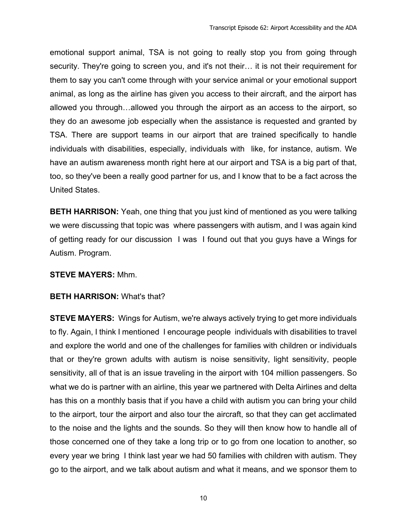emotional support animal, TSA is not going to really stop you from going through security. They're going to screen you, and it's not their… it is not their requirement for them to say you can't come through with your service animal or your emotional support animal, as long as the airline has given you access to their aircraft, and the airport has allowed you through…allowed you through the airport as an access to the airport, so they do an awesome job especially when the assistance is requested and granted by TSA. There are support teams in our airport that are trained specifically to handle individuals with disabilities, especially, individuals with like, for instance, autism. We have an autism awareness month right here at our airport and TSA is a big part of that, too, so they've been a really good partner for us, and I know that to be a fact across the United States.

**BETH HARRISON:** Yeah, one thing that you just kind of mentioned as you were talking we were discussing that topic was where passengers with autism, and I was again kind of getting ready for our discussion I was I found out that you guys have a Wings for Autism. Program.

#### **STEVE MAYERS:** Mhm.

#### **BETH HARRISON:** What's that?

**STEVE MAYERS:** Wings for Autism, we're always actively trying to get more individuals to fly. Again, I think I mentioned I encourage people individuals with disabilities to travel and explore the world and one of the challenges for families with children or individuals that or they're grown adults with autism is noise sensitivity, light sensitivity, people sensitivity, all of that is an issue traveling in the airport with 104 million passengers. So what we do is partner with an airline, this year we partnered with Delta Airlines and delta has this on a monthly basis that if you have a child with autism you can bring your child to the airport, tour the airport and also tour the aircraft, so that they can get acclimated to the noise and the lights and the sounds. So they will then know how to handle all of those concerned one of they take a long trip or to go from one location to another, so every year we bring I think last year we had 50 families with children with autism. They go to the airport, and we talk about autism and what it means, and we sponsor them to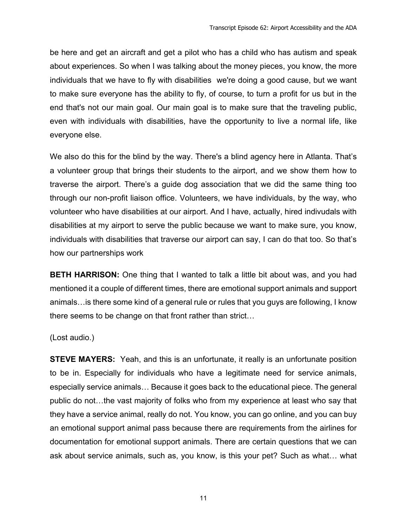be here and get an aircraft and get a pilot who has a child who has autism and speak about experiences. So when I was talking about the money pieces, you know, the more individuals that we have to fly with disabilities we're doing a good cause, but we want to make sure everyone has the ability to fly, of course, to turn a profit for us but in the end that's not our main goal. Our main goal is to make sure that the traveling public, even with individuals with disabilities, have the opportunity to live a normal life, like everyone else.

We also do this for the blind by the way. There's a blind agency here in Atlanta. That's a volunteer group that brings their students to the airport, and we show them how to traverse the airport. There's a guide dog association that we did the same thing too through our non-profit liaison office. Volunteers, we have individuals, by the way, who volunteer who have disabilities at our airport. And I have, actually, hired indivudals with disabilities at my airport to serve the public because we want to make sure, you know, individuals with disabilities that traverse our airport can say, I can do that too. So that's how our partnerships work

**BETH HARRISON:** One thing that I wanted to talk a little bit about was, and you had mentioned it a couple of different times, there are emotional support animals and support animals…is there some kind of a general rule or rules that you guys are following, I know there seems to be change on that front rather than strict…

(Lost audio.)

**STEVE MAYERS:** Yeah, and this is an unfortunate, it really is an unfortunate position to be in. Especially for individuals who have a legitimate need for service animals, especially service animals… Because it goes back to the educational piece. The general public do not…the vast majority of folks who from my experience at least who say that they have a service animal, really do not. You know, you can go online, and you can buy an emotional support animal pass because there are requirements from the airlines for documentation for emotional support animals. There are certain questions that we can ask about service animals, such as, you know, is this your pet? Such as what… what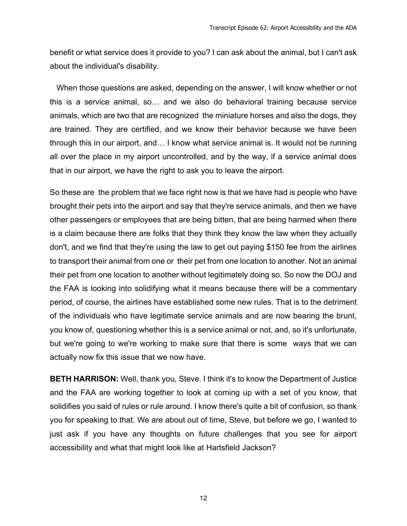benefit or what service does it provide to you? I can ask about the animal, but I can't ask about the individual's disability.

 When those questions are asked, depending on the answer, I will know whether or not this is a service animal, so… and we also do behavioral training because service animals, which are two that are recognized the miniature horses and also the dogs, they are trained. They are certified, and we know their behavior because we have been through this in our airport, and… I know what service animal is. It would not be running all over the place in my airport uncontrolled, and by the way, if a service animal does that in our airport, we have the right to ask you to leave the airport.

So these are the problem that we face right now is that we have had is people who have brought their pets into the airport and say that they're service animals, and then we have other passengers or employees that are being bitten, that are being harmed when there is a claim because there are folks that they think they know the law when they actually don't, and we find that they're using the law to get out paying \$150 fee from the airlines to transport their animal from one or their pet from one location to another. Not an animal their pet from one location to another without legitimately doing so. So now the DOJ and the FAA is looking into solidifying what it means because there will be a commentary period, of course, the airlines have established some new rules. That is to the detriment of the individuals who have legitimate service animals and are now bearing the brunt, you know of, questioning whether this is a service animal or not, and, so it's unfortunate, but we're going to we're working to make sure that there is some ways that we can actually now fix this issue that we now have.

**BETH HARRISON:** Well, thank you, Steve. I think it's to know the Department of Justice and the FAA are working together to look at coming up with a set of you know, that solidifies you said of rules or rule around. I know there's quite a bit of confusion, so thank you for speaking to that. We are about out of time, Steve, but before we go, I wanted to just ask if you have any thoughts on future challenges that you see for airport accessibility and what that might look like at Hartsfield Jackson?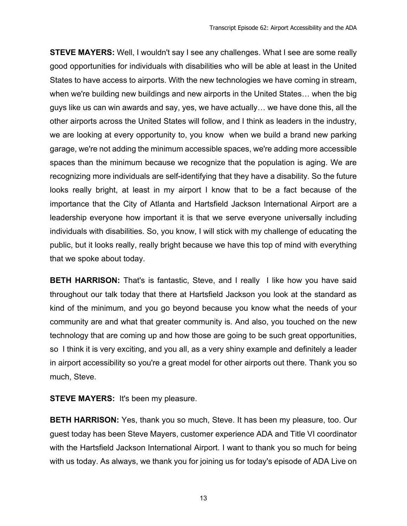**STEVE MAYERS:** Well, I wouldn't say I see any challenges. What I see are some really good opportunities for individuals with disabilities who will be able at least in the United States to have access to airports. With the new technologies we have coming in stream, when we're building new buildings and new airports in the United States… when the big guys like us can win awards and say, yes, we have actually… we have done this, all the other airports across the United States will follow, and I think as leaders in the industry, we are looking at every opportunity to, you know when we build a brand new parking garage, we're not adding the minimum accessible spaces, we're adding more accessible spaces than the minimum because we recognize that the population is aging. We are recognizing more individuals are self-identifying that they have a disability. So the future looks really bright, at least in my airport I know that to be a fact because of the importance that the City of Atlanta and Hartsfield Jackson International Airport are a leadership everyone how important it is that we serve everyone universally including individuals with disabilities. So, you know, I will stick with my challenge of educating the public, but it looks really, really bright because we have this top of mind with everything that we spoke about today.

**BETH HARRISON:** That's is fantastic, Steve, and I really I like how you have said throughout our talk today that there at Hartsfield Jackson you look at the standard as kind of the minimum, and you go beyond because you know what the needs of your community are and what that greater community is. And also, you touched on the new technology that are coming up and how those are going to be such great opportunities, so I think it is very exciting, and you all, as a very shiny example and definitely a leader in airport accessibility so you're a great model for other airports out there. Thank you so much, Steve.

**STEVE MAYERS:** It's been my pleasure.

**BETH HARRISON:** Yes, thank you so much, Steve. It has been my pleasure, too. Our guest today has been Steve Mayers, customer experience ADA and Title VI coordinator with the Hartsfield Jackson International Airport. I want to thank you so much for being with us today. As always, we thank you for joining us for today's episode of ADA Live on